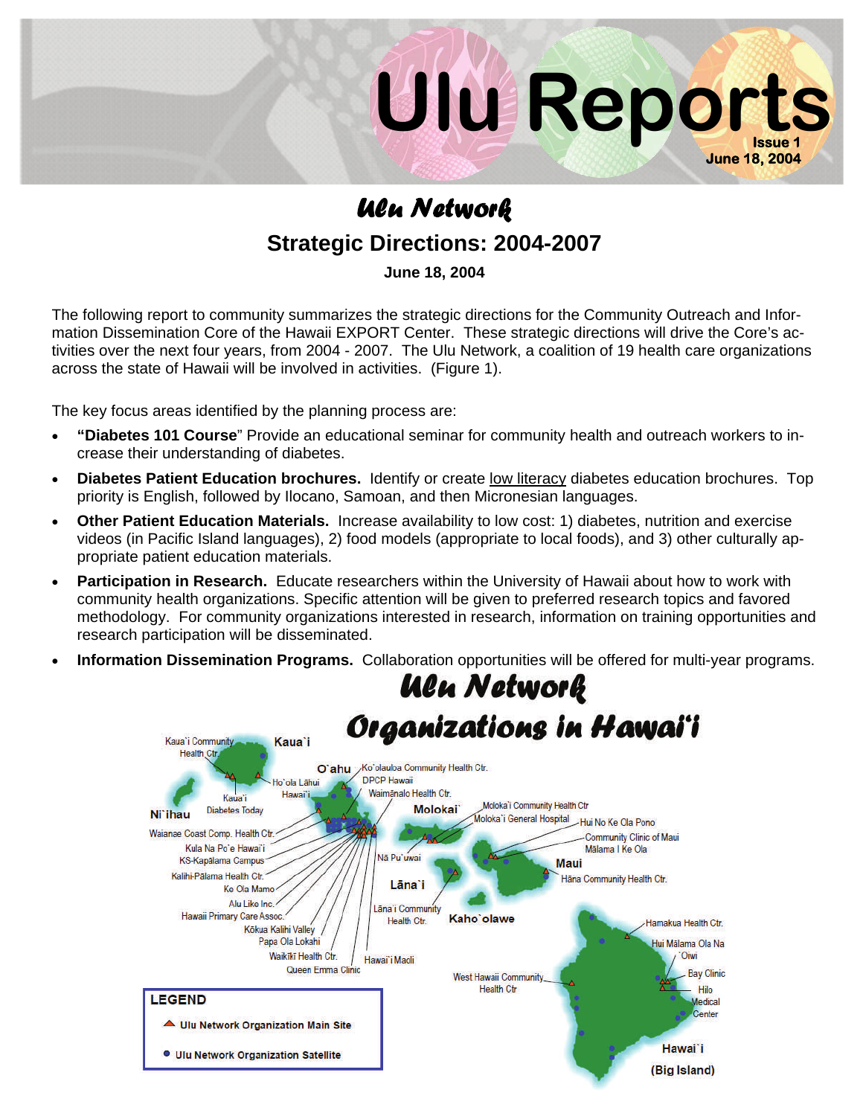

## *Ulu Network*  **Strategic Directions: 2004-2007**

**June 18, 2004** 

The following report to community summarizes the strategic directions for the Community Outreach and Information Dissemination Core of the Hawaii EXPORT Center. These strategic directions will drive the Core's activities over the next four years, from 2004 - 2007. The Ulu Network, a coalition of 19 health care organizations across the state of Hawaii will be involved in activities. (Figure 1).

The key focus areas identified by the planning process are:

- **"Diabetes 101 Course**" Provide an educational seminar for community health and outreach workers to increase their understanding of diabetes.
- **Diabetes Patient Education brochures.** Identify or create low literacy diabetes education brochures. Top priority is English, followed by Ilocano, Samoan, and then Micronesian languages.
- **Other Patient Education Materials.** Increase availability to low cost: 1) diabetes, nutrition and exercise videos (in Pacific Island languages), 2) food models (appropriate to local foods), and 3) other culturally appropriate patient education materials.
- **Participation in Research.** Educate researchers within the University of Hawaii about how to work with community health organizations. Specific attention will be given to preferred research topics and favored methodology. For community organizations interested in research, information on training opportunities and research participation will be disseminated.
- **Information Dissemination Programs.** Collaboration opportunities will be offered for multi-year programs.

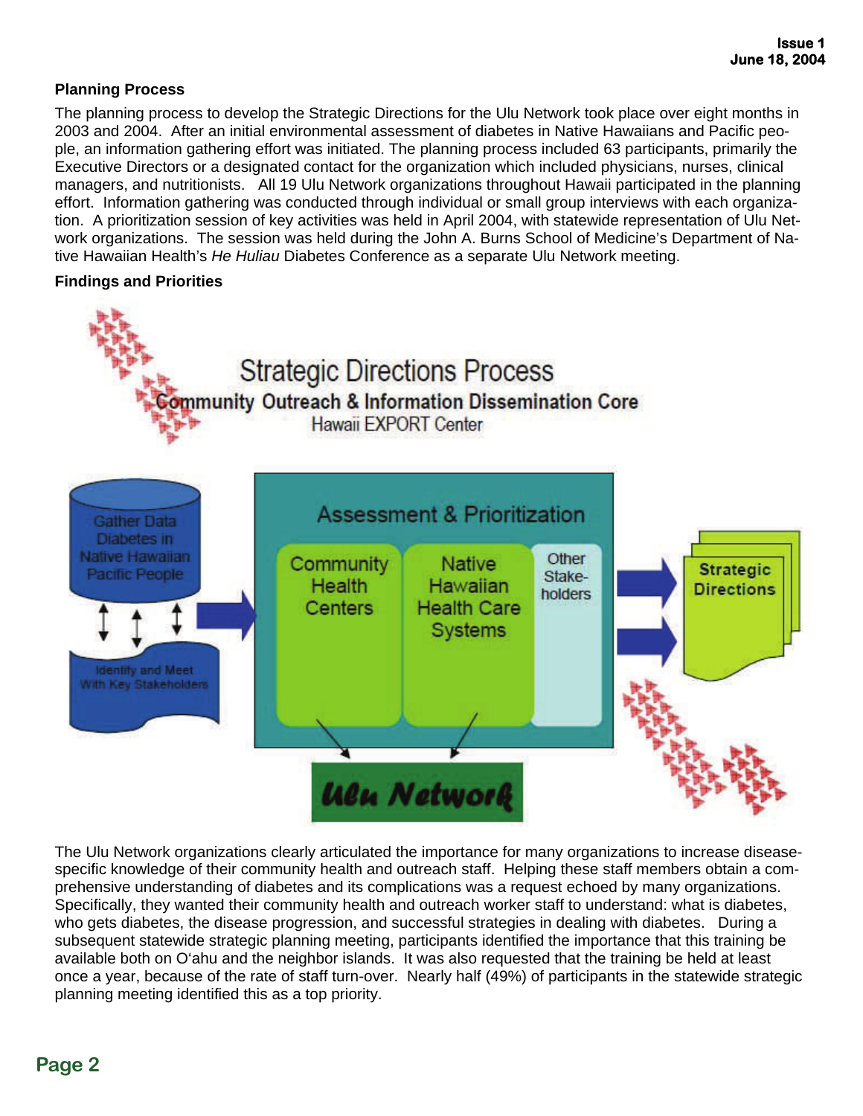## **Planning Process**

The planning process to develop the Strategic Directions for the Ulu Network took place over eight months in 2003 and 2004. After an initial environmental assessment of diabetes in Native Hawaiians and Pacific people, an information gathering effort was initiated. The planning process included 63 participants, primarily the Executive Directors or a designated contact for the organization which included physicians, nurses, clinical managers, and nutritionists. All 19 Ulu Network organizations throughout Hawaii participated in the planning effort. Information gathering was conducted through individual or small group interviews with each organization. A prioritization session of key activities was held in April 2004, with statewide representation of Ulu Network organizations. The session was held during the John A. Burns School of Medicine's Department of Native Hawaiian Health's *He Huliau* Diabetes Conference as a separate Ulu Network meeting.

## **Findings and Priorities**



The Ulu Network organizations clearly articulated the importance for many organizations to increase diseasespecific knowledge of their community health and outreach staff. Helping these staff members obtain a comprehensive understanding of diabetes and its complications was a request echoed by many organizations. Specifically, they wanted their community health and outreach worker staff to understand: what is diabetes, who gets diabetes, the disease progression, and successful strategies in dealing with diabetes. During a subsequent statewide strategic planning meeting, participants identified the importance that this training be available both on O'ahu and the neighbor islands. It was also requested that the training be held at least once a year, because of the rate of staff turn-over. Nearly half (49%) of participants in the statewide strategic planning meeting identified this as a top priority.